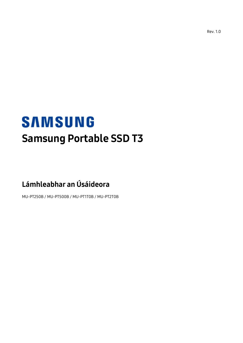Rev. 1.0

# **SAMSUNG** Samsung Portable SSD T3

# Lámhleabhar an Úsáideora

MU-PT250B / MU-PT500B / MU-PT1T0B / MU-PT2T0B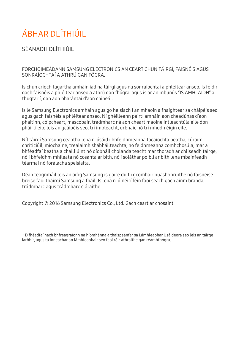# ÁBHAR DLÍTHIÚIL

SÉANADH DLÍTHIÚIL

FORCHOIMEÁDANN SAMSUNG ELECTRONICS AN CEART CHUN TÁIRGÍ, FAISNÉIS AGUS SONRAÍOCHTAÍ A ATHRÚ GAN FÓGRA.

Is chun críoch tagartha amháin iad na táirgí agus na sonraíochtaí a phléitear anseo. Is féidir gach faisnéis a phléitear anseo a athrú gan fhógra, agus is ar an mbunús "IS AMHLAIDH" a thugtar í, gan aon bharántaí d'aon chineál.

Is le Samsung Electronics amháin agus go heisiach í an mhaoin a fhaightear sa cháipéis seo agus gach faisnéis a phléitear anseo. Ní ghéilleann páirtí amháin aon cheadúnas d'aon phaitinn, cóipcheart, mascobair, trádmharc ná aon cheart maoine intleachtúla eile don pháirtí eile leis an gcáipéis seo, trí impleacht, urbhaic nó trí mhodh éigin eile.

Níl táirgí Samsung ceaptha lena n-úsáid i bhfeidhmeanna tacaíochta beatha, cúraim chriticiúil, míochaine, trealaimh shábháilteachta, nó feidhmeanna comhchosúla, mar a bhféadfaí beatha a chailliúint nó díobháil cholanda teacht mar thoradh ar chliseadh táirge, nó i bhfeidhm mhíleata nó cosanta ar bith, nó i soláthar poiblí ar bith lena mbainfeadh téarmaí nó forálacha speisialta.

Déan teagmháil leis an oifig Samsung is gaire duit i gcomhair nuashonruithe nó faisnéise breise faoi tháirgí Samsung a fháil. Is lena n-úinéirí féin faoi seach gach ainm branda, trádmharc agus trádmharc cláraithe.

Copyright © 2016 Samsung Electronics Co., Ltd. Gach ceart ar chosaint.

\* D'fhéadfaí nach bhfreagraíonn na híomhánna a thaispeánfar sa Lámhleabhar Úsáideora seo leis an táirge iarbhír, agus tá inneachar an lámhleabhair seo faoi réir athraithe gan réamhfhógra.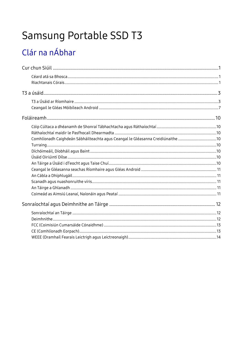# Samsung Portable SSD T3

# Clár na nÁbhar

| Comhlíonadh Caighdeán Sábháilteachta agus Ceangal le Gléasanna Creidiúnaithe 10 |  |
|---------------------------------------------------------------------------------|--|
|                                                                                 |  |
|                                                                                 |  |
|                                                                                 |  |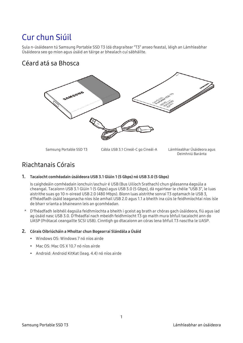# <span id="page-3-0"></span>Cur chun Siúil

Sula n-úsáideann tú Samsung Portable SSD T3 (dá dtagraítear "T3" anseo feasta), léigh an Lámhleabhar Úsáideora seo go mion agus úsáid an táirge ar bhealach cuí sábháilte.

### <span id="page-3-1"></span>Céard atá sa Bhosca



Samsung Portable SSD T3 Cábla USB 3.1 Cineál-C go Cineál-A Lámhleabhar Úsáideora agus Deimhniú Baránta

### <span id="page-3-2"></span>Riachtanais Córais

#### 1. Tacaíocht comhéadain úsáideora USB 3.1 Glúin 1 (5 Gbps) nó USB 3.0 (5 Gbps)

Is caighdeáin comhéadain ionchuir/aschuir é USB (Bus Uilíoch Srathach) chun gléasanna éagsúla a cheangal. Tacaíonn USB 3.1 Glúin 1 (5 Gbps) agus USB 3.0 (5 Gbps), dá ngairtear le chéile "USB 3", le luas aistrithe suas go 10 n-oiread USB 2.0 (480 Mbps). Bíonn luas aistrithe sonraí T3 optamach le USB 3, d'fhéadfadh úsáid leaganacha níos ísle amhail USB 2.0 agus 1.1 a bheith ina cúis le feidhmíochtaí níos ísle de bharr srianta a bhaineann leis an gcomhéadan.

\* D'fhéadfadh leibhéil éagsúla feidhmíochta a bheith i gceist ag brath ar chóras gach úsáideora, fiú agus iad ag úsáid nasc USB 3.0. D'fhéadfaí nach mbeidh feidhmíocht T3 go maith mura bhfuil tacaíocht ann do UASP (Prótacal ceangailte SCSI USB). Cinntigh go dtacaíonn an córas lena bhfuil T3 nasctha le UASP.

#### 2. Córais Oibriúcháin a Mholtar chun Bogearraí Slándála a Úsáid

- Windows OS: Windows 7 nó níos airde
- Mac OS: Mac OS X 10.7 nó níos airde
- Android: Android KitKat (leag. 4.4) nó níos airde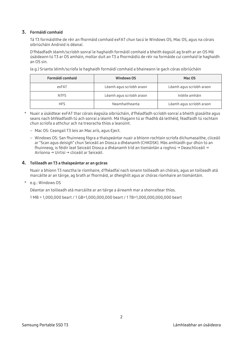#### 3. Formáidí comhaid

Tá T3 formáidithe de réir an fhormáid comhaid exFAT chun tacú le Windows OS, Mac OS, agus na córais oibriúcháin Android is déanaí.

D'fhéadfadh léamh/scríobh sonraí le haghaidh formáidí comhaid a bheith éagsúil ag brath ar an OS Má úsáideann tú T3 ar OS amháin, moltar duit an T3 a fhormáidiú de réir na formáide cuí comhaid le haghaidh an OS sin.

(e.g.) Srianta léimh/scríofa le haghaidh formáidí comhaid a bhaineann le gach córas oibriúcháin

| Formáidí comhaid | <b>Windows OS</b>        | Mac OS                   |
|------------------|--------------------------|--------------------------|
| exFAT            | Léamh agus scríobh araon | Léamh agus scríobh araon |
| <b>NTFS</b>      | Léamh agus scríobh araon | Inléite amháin           |
| <b>HFS</b>       | Neamhaitheanta           | Léamh agus scríobh araon |

- \* Nuair a úsáidtear exFAT thar córais éagsúla oibriúcháin, d'fhéadfadh scríobh sonraí a bheith glasáilte agus seans nach bhféadfaidh tú ach sonraí a léamh. Má thagann tú ar fhadhb dá leithéid, féadfaidh tú rochtain chun scríofa a athchur ach na treoracha thíos a leanúint.
	- Mac OS: Ceangail T3 leis an Mac arís, agus Eject.
	- Windows OS: San fhuinneog fógra a thaispeántar nuair a bhíonn rochtain scríofa díchumasaithe, cliceáil ar "Scan agus deisigh" chun Seiceáil an Diosca a dhéanamh (CHKDSK). Más amhlaidh gur dhún tú an fhuinneog, is féidir leat Seiceáil Diosca a dhéanamh tríd an tiomántán a roghnú → Deaschliceáil → Airíonna → Uirlisí → cliceáil ar Seiceáil.

#### 4. Toilleadh an T3 a thaispeántar ar an gcóras

Nuair a bhíonn T3 nasctha le ríomhaire, d'fhéadfaí nach ionann toilleadh an chórais, agus an toilleadh atá marcáilte ar an táirge, ag brath ar fhormáid, ar dheighilt agus ar chóras ríomhaire an tiomántáin.

\* e.g.: Windows OS

Déantar an toilleadh atá marcáilte ar an táirge a áireamh mar a shonraítear thíos.

1 MB = 1,000,000 beart / 1 GB=1,000,000,000 beart / 1 TB=1,000,000,000,000 beart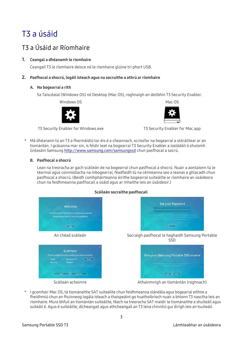## <span id="page-5-0"></span>T3 a úsáid

### <span id="page-5-1"></span>T3 a Úsáid ar Ríomhaire

#### 1. Ceangal a dhéanamh le ríomhaire

Ceangail T3 le ríomhaire deisce nó le ríomhaire glúine trí phort USB.

#### 2. Pasfhocal a shocrú, logáil isteach agus na socruithe a athrú ar ríomhaire

#### A. Na bogearraí a rith

Sa Taiscéalaí (Windows OS) nó Desktop (Mac OS), roghnaigh an deilbhín T3 Security Enabler.

Windows OS 2008 2009 12:00 Mac OS



T3 Security Enabler for Windows.exe T3 Security Enabler for Mac.app



\* Má dhéanann tú an T3 a fhormáidiú tar éis é a cheannach, scriosfar na bogearraí a stóráiltear ar an tiomántán. I gcásanna mar sin, is féidir leat na bogearraí T3 Security Enabler a íoslódáil ó shuíomh Gréasáin Samsun[g http://www.samsung.com/samsungssd](http://www.samsung.com/samsungssd) chun pasfhocal a socrú.

#### B. Pasfhocal a shocrú

Lean na treoracha ar gach scáileán de na bogearraí chun pasfhocal a shocrú. Nuair a aontaíonn tú le téarmaí agus coinníollacha na mbogearraí, féadfaidh tú na céimeanna seo a leanas a ghlacadh chun pasfhocal a shocrú. (Beidh comhpháirteanna áirithe bogearraí suiteáilte ar ríomhaire an úsáideora chun na feidhmeanna pasfhocail a úsáid agus ar mhaithe leis an úsáideoir.)



#### Scáileán socraithe pasfhocail

I gcomhair Mac OS, tá tiománaithe SAT suiteáilte chun feidhmeanna slándála agus bogearraí eithne a fheidhmiú chun an fhuinneog logála isteach a thaispeáint go huathoibríoch nuair a bhíonn T3 nasctha leis an ríomhaire. Mura bhfuil an tiomántán suiteáilte, féach na treoracha SAT maidir le tiománaithe a shuiteáil agus suiteáil é. Agus é suiteáilte, dícheangail agus athcheangail an T3 lena chinntiú gur éirigh leis an tsuiteáil.

Scáileán achoimre **Athainmnigh an tiomántán (roghnach)**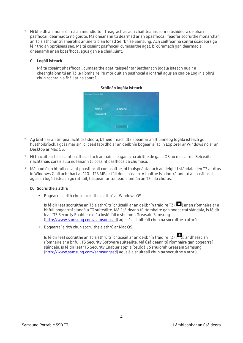\* Ní bheidh an monaróir ná an miondíoltóir freagrach as aon chaillteanas sonraí úsáideora de bharr pasfhocail dearmadta nó goidte. Má dhéanann tú dearmad ar an bpasfhocal, féadfar socruithe monarchan an T3 a athchur trí sheirbhís ar líne tríd an Ionad Seirbhíse Samsung. Ach caillfear na sonraí úsáideora go léir tríd an bpróiseas seo. Má tá cosaint pasfhocail cumasaithe agat, bí cúramach gan dearmad a dhéanamh ar an bpasfhocal agus gan é a chailliúint.

#### C. Logáil isteach

Má tá cosaint phasfhocail cumasaithe agat, taispeántar leathanach logála isteach nuair a cheanglaíonn tú an T3 le ríomhaire. Ní mór duit an pasfhocal a iontráil agus an cnaipe Log in a bhrú chun rochtain a fháil ar na sonraí.



#### Scáileán logála isteach

- \* Ag brath ar an timpeallacht úsáideora, b'fhéidir nach dtaispeánfar an fhuinneog logála isteach go huathoibríoch. I gcás mar sin, cliceáil faoi dhó ar an deilbhín bogearraí T3 in Explorer ar Windows nó ar an Desktop ar Mac OS.
- \* Ní thacaítear le cosaint pasfhocail ach amháin i leaganacha áirithe de gach OS nó níos airde. Seiceáil na riachtanais córais sula ndéanann tú cosaint pasfhocail a chumasú.
- Más rud é go bhfuil cosaint phasfhocail cumasaithe, ní thaispeántar ach an deighilt slándála den T3 ar dtús. In Windows 7, níl ach thart ar 120 - 128 MB ar fáil don spás sin. A luaithe is a iontrálann tú an pasfhocal agus an logáil isteach go rathúil, taispeánfar toilleadh iomlán an T3 i do chóras.

#### D. Socruithe a athrú

Bogearraí a rith chun socruithe a athrú ar Windows OS

Is féidir leat socruithe an T3 a athrú trí chliceáil ar an deilbhín tráidire T3 ( $\ddot{\ddot{\ddot{\bm{\omega}}}}$ ) ar an ríomhaire ar a bhfuil bogearraí slándála T3 suiteáilte. Má úsáideann tú ríomhaire gan bogearraí slándála, is féidir leat "T3 Security Enabler.exe" a íoslódáil ó shuíomh Gréasáin Samsung [\(http://www.samsung.com/samsungssd\)](http://www.samsung.com/samsungssd) agus é a shuiteáil chun na socruithe a athrú.

Bogearraí a rith chun socruithe a athrú ar Mac OS

Is féidir leat socruithe an T3 a athrú trí chliceáil ar an deilbhín tráidire T3 ( ) ar dheasc an ríomhaire ar a bhfuil T3 Security Software suiteáilte. Má úsáideann tú ríomhaire gan bogearraí slándála, is féidir leat "T3 Security Enabler.app" a íoslódáil ó shuíomh Gréasáin Samsung [\(http://www.samsung.com/samsungssd\)](http://www.samsung.com/samsungssd) agus é a shuiteáil chun na socruithe a athrú.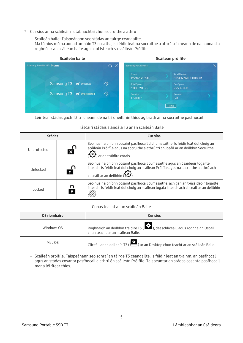- \* Cur síos ar na scáileáin is tábhachtaí chun socruithe a athrú
	- Scáileán baile: Taispeánann seo stádas an táirge ceangailte. Má tá níos mó ná aonad amháin T3 nasctha, is féidir leat na socruithe a athrú trí cheann de na haonaid a roghnú ar an scáileán baile agus dul isteach sa scáileán Próifíle.



Léirítear stádas gach T3 trí cheann de na trí dheilbhín thíos ag brath ar na socruithe pasfhocail.

#### Táscairí stádais slándála T3 ar an scáileán Baile

| <b>Stádas</b> | Cur síos                                                                                                                                                                                                                        |
|---------------|---------------------------------------------------------------------------------------------------------------------------------------------------------------------------------------------------------------------------------|
| Unprotected   | Seo nuair a bhíonn cosaint pasfhocail díchumasaithe. Is féidir leat dul chuig an<br>scáileán Próifíle agus na socruithe a athrú trí chliceáil ar an deilbhín Socruithe<br>an tráidire córais.                                   |
| Unlocked      | Seo nuair a bhíonn cosaint pasfhocail cumasaithe agus an úsáideoir logáilte<br>isteach. Is féidir leat dul chuig an scáileán Próifíle agus na socruithe a athrú ach<br>cliceáil ar an deilbhín ( <b>مُرْمَحَ</b> ) <sub>.</sub> |
| l ocked       | Seo nuair a bhíonn cosaint pasfhocail cumasaithe, ach gan an t-úsáideoir logáilte<br>isteach. Is féidir leat dul chuig an scáileán logála isteach ach cliceáil ar an deilbhín                                                   |

#### Conas teacht ar an scáileán Baile

| <b>OS ríomhaire</b> | Cur síos                                                                                                           |
|---------------------|--------------------------------------------------------------------------------------------------------------------|
| Windows OS          | Roghnaigh an deilbhín tráidire T3 (232), deaschliceáil, agus roghnaigh Oscail<br>chun teacht ar an scáileán Baile. |
| Mac OS              | Cliceáil ar an deilbhín T3 (Calliean Desktop chun teacht ar an scáileán Baile.                                     |

– Scáileán próifíle: Taispeánann seo sonraí an táirge T3 ceangailte. Is féidir leat an t-ainm, an pasfhocal agus an stádas cosanta pasfhocail a athrú ón scáileán Próifíle. Taispeántar an stádas cosanta pasfhocail mar a léirítear thíos.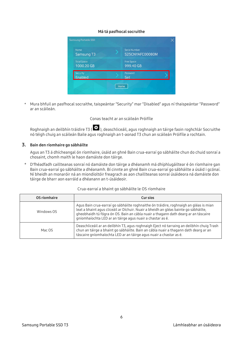#### Má tá pasfhocal socruithe

| Name<br>Samsung T3                | <b>Serial Number</b><br>S25CNYAFC00080M |  |
|-----------------------------------|-----------------------------------------|--|
| <b>Total Space</b><br>1000.20 GB  | <b>Free Space</b><br>999.40 GB          |  |
| <b>Security</b><br><b>Enabled</b> | Password<br>Set                         |  |

\* Mura bhfuil an pasfhocal socraithe, taispeántar "Security" mar "Disabled" agus ní thaispeántar "Password" ar an scáileán.

#### Conas teacht ar an scáileán Próifíle

Roghnaigh an deilbhín tráidire T3 (  $\ddot{\ddot{\ddot{\cdot}}}$  ), deaschliceáil, agus roghnaigh an táirge faoin roghchlár Socruithe nó téigh chuig an scáileán Baile agus roghnaigh an t-aonad T3 chun an scáileán Próifíle a rochtain.

#### 3. Bain den ríomhaire go sábháilte

Agus an T3 á dhícheangal ón ríomhaire, úsáid an ghné Bain crua-earraí go sábháilte chun do chuid sonraí a chosaint, chomh maith le haon damáiste don táirge.

\* D'fhéadfadh caillteanas sonraí nó damáiste don táirge a dhéanamh má dhíphlugáiltear é ón ríomhaire gan Bain crua-earraí go sábháilte a dhéanamh. Bí cinnte an ghné Bain crua-earraí go sábháilte a úsáid i gcónaí. Ní bheidh an monaróir ná an miondíoltóir freagrach as aon chaillteanas sonraí úsáideora ná damáiste don táirge de bharr aon earráid a dhéanann an t-úsáideoir.

| OS ríomhaire | Cur síos                                                                                                                                                                                                                                                                                                                         |
|--------------|----------------------------------------------------------------------------------------------------------------------------------------------------------------------------------------------------------------------------------------------------------------------------------------------------------------------------------|
| Windows OS   | Agus Bain crua-earraí go sábháilte roghnaithe ón tráidire, roghnaigh an gléas is mian<br>leat a bhaint agus cliceáil ar Díchuir. Nuair a bheidh an gléas bainte go sábháilte,<br>gheobhaidh tú fógra ón OS. Bain an cábla nuair a thagann dath dearg ar an táscaire<br>gníomhaíochta LED ar an táirge agus nuair a chastar as é. |
| Mac OS       | Deaschliceáil ar an deilbhín T3, agus roghnaigh Eject nó tarraing an deilbhín chuig Trash<br>chun an táirge a bhaint go sábháilte. Bain an cábla nuair a thagann dath dearg ar an<br>táscaire gníomhaíochta LED ar an táirge agus nuair a chastar as é.                                                                          |

#### Crua-earraí a bhaint go sábháilte le OS ríomhaire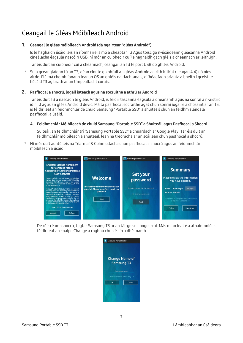### <span id="page-9-0"></span>Ceangail le Gléas Móibíleach Android

#### 1. Ceangal le gléas móibíleach Android (dá ngairtear "gléas Android")

Is le haghaidh úsáid leis an ríomhaire is mó a cheaptar T3 Agus toisc go n-úsáideann gléasanna Android cineálacha éagsúla nascóirí USB, ní mór an cuibheoir cuí le haghaidh gach gléis a cheannach ar leithligh.

Tar éis duit an cuibheoir cuí a cheannach, ceangail an T3 le port USB do ghléis Android.

\* Sula gceanglaíonn tú an T3, déan cinnte go bhfuil an gléas Android ag rith KitKat (Leagan 4.4) nó níos airde. Fiú má chomhlíonann leagan OS an ghléis na riachtanais, d'fhéadfadh srianta a bheith i gceist le húsáid T3 ag brath ar an timpeallacht córais.

#### 2. Pasfhocal a shocrú, logáil isteach agus na socruithe a athrú ar Android

Tar éis duit T3 a nascadh le gléas Android, is féidir tascanna éagsúla a dhéanamh agus na sonraí á n-aistriú idir T3 agus an gléas Android devic. Má tá pasfhocal socraithe agat chun sonraí íogaire a chosaint ar an T3, is féidir leat an feidhmchlár de chuid Samsung "Portable SSD" a shuiteáil chun an feidhm slándála pasfhocail a úsáid.

#### A. Feidhmchlár Móibíleach de chuid Samsung "Portable SSD" a Shuiteáil agus Pasfhocal a Shocrú

Suiteáil an feidhmchlár trí "Samsung Portable SSD" a chuardach ar Google Play. Tar éis duit an feidhmchlár móibíleach a shuiteáil, lean na treoracha ar an scáileán chun pasfhocal a shocrú.

Ní mór duit aontú leis na Téarmaí & Coinníollacha chun pasfhocal a shocrú agus an feidhmchlár móibíleach a úsáid.



De réir réamhshocrú, tugtar Samsung T3 ar an táirge sna bogearraí. Más mian leat é a athainmniú, is féidir leat an cnaipe Change a roghnú chun é sin a dhéanamh.

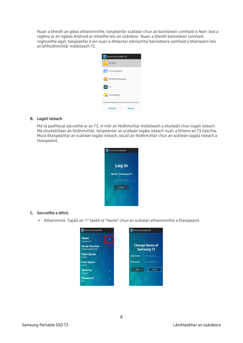Nuair a bheidh an gléas athainmnithe, taispeánfar scáileán chun an bainisteoir comhaid is fearr leat a roghnú ar an ngléas Android ar mhaithe leis an úsáideoir. Nuair a bheidh bainisteoir comhaid roghnaithe agat, taispeánfar é sin nuair a dhéantar oibríochtaí bainisteora comhaid a bhaineann leis an bhfeidhmchlár móibíleach T3.



#### B. Logáil isteach

Má tá pasfhocal socraithe ar an T3, ní mór an feidhmchlár móibíleach a shuiteáil chun logáil isteach. Má shuiteáiltear an feidhmchlár, taispeántar an scáileán logála isteach nuair a bhíonn an T3 nasctha. Mura dtaispeántar an scáileán logála isteach, oscail an feidhmchlár chun an scáileán logála isteach a thaispeáint.



#### C. Socruithe a athrú

Athainmniú: Tapáil an ">" taobh le "Name" chun an scáileán athainmnithe a thaispeáint.

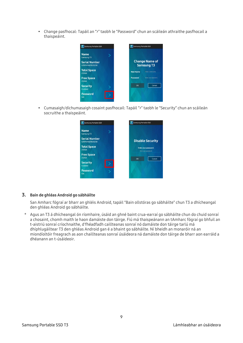Change pasfhocal: Tapáil an ">" taobh le "Password" chun an scáileán athraithe pasfhocail a thaispeáint.



 Cumasaigh/díchumasaigh cosaint pasfhocail: Tapáil ">" taobh le "Security" chun an scáileán socruithe a thaispeáint.

| Samsung Portable SSD                           | <b>T</b> Samsung Portable SSD                |
|------------------------------------------------|----------------------------------------------|
| <b>Name</b><br>Samsung T3                      |                                              |
| <b>Serial Number</b><br><b>S25FNYAG702023E</b> | <b>Disable Security</b>                      |
| <b>Total Space</b><br>233GB                    | Enter your password.<br>Enter your password. |
| <b>Free Space</b><br>232GB                     | OK<br>Cancel                                 |
| <b>Security</b><br>Enabled                     |                                              |
| <b>Password</b><br>Set                         |                                              |

#### 3. Bain de ghléas Android go sábháilte

San Amharc fógraí ar bharr an ghléis Android, tapáil "Bain ollstóras go sábháilte" chun T3 a dhícheangal den ghléas Android go sábháilte.

\* Agus an T3 á dhícheangal ón ríomhaire, úsáid an ghné baint crua-earraí go sábháilte chun do chuid sonraí a chosaint, chomh maith le haon damáiste don táirge. Fiú má thaispeánann an tAmharc fógraí go bhfuil an t-aistriú sonraí críochnaithe, d'fhéadfadh caillteanas sonraí nó damáiste don táirge tarlú má dhíphlugáiltear T3 den ghléas Android gan é a bhaint go sábháilte. Ní bheidh an monaróir ná an miondíoltóir freagrach as aon chaillteanas sonraí úsáideora ná damáiste don táirge de bharr aon earráid a dhéanann an t-úsáideoir.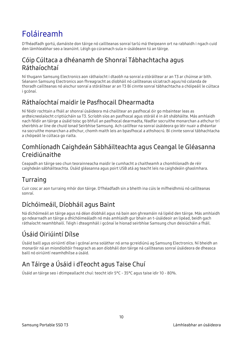# <span id="page-12-0"></span>Foláireamh

D'fhéadfadh gortú, damáiste don táirge nó caillteanas sonraí tarlú má theipeann ort na rabhaidh i ngach cuid den lámhleabhar seo a leanúint. Léigh go cúramach sula n-úsáideann tú an táirge.

### <span id="page-12-1"></span>Cóip Cúltaca a dhéanamh de Shonraí Tábhachtacha agus Ráthaíochtaí

Ní thugann Samsung Electronics aon ráthaíocht i dtaobh na sonraí a stóráiltear ar an T3 ar chúinse ar bith. Séanann Samsung Electronics aon fhreagracht as díobháil nó caillteanas síciatrach agus/nó colanda de thoradh caillteanas nó aischur sonraí a stóráiltear ar an T3 Bí cinnte sonraí tábhachtacha a chóipeáil le cúltaca i gcónaí.

### <span id="page-12-2"></span>Ráthaíochtaí maidir le Pasfhocail Dhearmadta

Ní féidir rochtain a fháil ar shonraí úsáideora má chailltear an pasfhocal óir go mbaintear leas as ardteicneolaíocht criptiúcháin sa T3. Scríobh síos an pasfhocal agus stóráil é in áit shábháilte. Más amhlaidh nach féidir an táirge a úsáid toisc go bhfuil an pasfhocal dearmadta, féadfar socruithe monarchan a athchur trí sheirbhís ar líne de chuid Ionad Seirbhíse Samsung. Ach caillfear na sonraí úsáideora go léir nuair a dhéantar na socruithe monarchan a athchur, chomh maith leis an bpasfhocal a athshocrú. Bí cinnte sonraí tábhachtacha a chóipeáil le cúltaca go rialta.

### <span id="page-12-3"></span>Comhlíonadh Caighdeán Sábháilteachta agus Ceangal le Gléasanna Creidiúnaithe

Ceapadh an táirge seo chun teorainneacha maidir le cumhacht a chaitheamh a chomhlíonadh de réir caighdeán sábháilteachta. Úsáid gléasanna agus poirt USB atá ag teacht leis na caighdeáin ghaolmhara.

### <span id="page-12-4"></span>Turraing

Cuir cosc ar aon turraing mhór don táirge. D'fhéadfadh sin a bheith ina cúis le mífheidhmiú nó caillteanas sonraí.

### <span id="page-12-5"></span>Díchóimeáil, Díobháil agus Baint

Ná díchóimeáil an táirge agus ná déan díobháil agus ná bain aon ghreamáin ná lipéid den táirge. Más amhlaidh go ndearnadh an táirge a dhíchóimeáladh nó más amhlaidh gur bhain an t-úsáideoir an lipéad, beidh gach ráthaíocht neamhbhailí. Téigh i dteagmháil i gcónaí le hionad seirbhíse Samsung chun deisiúcháin a fháil.

## <span id="page-12-6"></span>Úsáid Oiriúintí Dílse

Úsáid baill agus oiriúintí dílse i gcónaí arna soláthar nó arna gcreidiúnú ag Samsung Electronics. Ní bheidh an monaróir ná an miondíoltóir freagrach as aon díobháil don táirge ná caillteanas sonraí úsáideora de dheasca baill nó oiriúintí neamhdhílse a úsáid.

### <span id="page-12-7"></span>An Táirge a Úsáid i dTeocht agus Taise Chuí

Úsáid an táirge seo i dtimpeallacht chuí: teocht idir 5°C - 35°C agus taise idir 10 - 80%.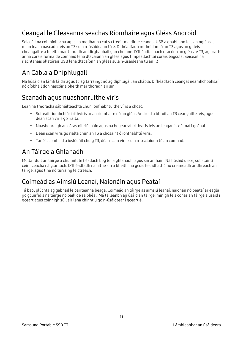### <span id="page-13-0"></span>Ceangal le Gléasanna seachas Ríomhaire agus Gléas Android

Seiceáil na coinníollacha agus na modhanna cuí sa treoir maidir le ceangal USB a ghabhann leis an ngléas is mian leat a nascadh leis an T3 sula n-úsáideann tú é. D'fhéadfadh mífheidhmiú an T3 agus an ghléis cheangailte a bheith mar thoradh ar idirghabháil gan choinne. D'fhéadfaí nach dtacódh an gléas le T3, ag brath ar na córais formáide comhaid lena dtacaíonn an gléas agus timpeallachtaí córais éagsúla. Seiceáil na riachtanais ollstórais USB lena dtacaíonn an gléas sula n-úsáideann tú an T3.

### <span id="page-13-1"></span>An Cábla a Dhíphlugáil

Ná húsáid an lámh láidir agus tú ag tarraingt nó ag díphlugáil an chábla. D'fhéadfadh ceangal neamhchobhsaí nó díobháil don nascóir a bheith mar thoradh air sin.

### <span id="page-13-2"></span>Scanadh agus nuashonruithe víris

Lean na treoracha sábháilteachta chun ionfhabhtuithe víris a chosc.

- Suiteáil ríomhchlár frithvíris ar an ríomhaire nó an gléas Android a bhfuil an T3 ceangailte leis, agus déan scan víris go rialta.
- Nuashonraigh an córas oibriúcháin agus na bogearraí frithvíris leis an leagan is déanaí i gcónaí.
- Déan scan víris go rialta chun an T3 a chosaint ó ionfhabhtú víris.
- Tar éis comhaid a íoslódáil chuig T3, déan scan víris sula n-osclaíonn tú an comhad.

### <span id="page-13-3"></span>An Táirge a Ghlanadh

Moltar duit an táirge a chuimilt le héadach bog lena ghlanadh, agus sin amháin. Ná húsáid uisce, substaintí ceimiceacha ná glantach. D'fhéadfadh na nithe sin a bheith ina gcúis le dídhathú nó creimeadh ar dhreach an táirge, agus tine nó turraing leictreach.

### <span id="page-13-4"></span>Coimeád as Aimsiú Leanaí, Naíonáin agus Peataí

Tá baol plúchta ag gabháil le páirteanna beaga. Coimeád an táirge as aimsiú leanaí, naíonán nó peataí ar eagla go gcuirfidís na táirge nó baill de sa bhéal. Má tá leanbh ag úsáid an táirge, mínigh leis conas an táirge a úsáid i gceart agus coinnigh súil air lena chinntiú go n-úsáidtear i gceart é.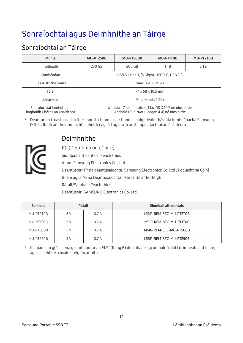# <span id="page-14-0"></span>Sonraíochtaí agus Deimhnithe an Táirge

### <span id="page-14-1"></span>Sonraíochtaí an Táirge

| Múnla                                                    | <b>MU-PT250B</b>                                                                                      | MU-PT500B | MU-PT1T0B | MU-PT2T0B |
|----------------------------------------------------------|-------------------------------------------------------------------------------------------------------|-----------|-----------|-----------|
| Toilleadh                                                | 250 GB                                                                                                | 500 GB    | 1TB       | 2 TB      |
| Comhéadan                                                | USB 3.1 Gen 1, (5 Gbps), USB 3.0, USB 2.0                                                             |           |           |           |
| Luas Aistrithe Sonraí                                    | Suas le 450 MB/s                                                                                      |           |           |           |
| Toisí                                                    | 74 x 58 x 10.5 mm                                                                                     |           |           |           |
| Meáchan                                                  | 51 g (Múnla 2 TB)                                                                                     |           |           |           |
| Sonraíochtaí Inmholta le<br>haghaidh Chóras an Úsáideora | Windows 7 nó níos airde, Mac OS X 10.7 nó níos airde,<br>Android OS KitKat (Leagan 4.4) nó níos airde |           |           |           |

\* Déantar an t-uasluas aistrithe sonraí a thomhas ar bhonn chaighdeáin thástála inmheánacha Samsung. D'fhéadfadh an fheidhmíocht a bheith éagsúil ag brath ar thimpeallachtaí an úsáideora



### <span id="page-14-2"></span>Deimhnithe

KC (Deimhniú ón gCóiré)

Siombail aitheantais: Féach thíos

Ainm: Samsung Electronics Co., Ltd.

Déantúsóir/Tír na déantúsaíochta: Samsung Electronics Co. Ltd /Poblacht na Cóiré

Bliain agus Mí na Déantúsaíochta: Marcáilte ar leithligh

Rátáil/Samhail: Féach thíos

Déantúsóir: SAMSUNG Electronics Co. Ltd

| <b>Samhail</b> | <b>Rátáil</b> |      | Siombail aitheantais   |
|----------------|---------------|------|------------------------|
| MU-PT2T0B      | 5 V           | 0.7A | MSIP-REM-SEC-MU-PT2T0B |
| MU-PT1T0B      | 5 V           | 0.7A | MSIP-REM-SEC-MU-PT1T0B |
| MU-PT500B      | 5 V           | 0.7A | MSIP-REM-SEC-MU-PT500B |
| MU-PT250B      | 5 V           | 0.7A | MSIP-REM-SEC-MU-PT250B |

\* Ceapadh an gléas lena gcomhlíontar an EMC (Rang B) don bhaile i gcomhair úsáid i dtimpeallacht baile, agus is féidir é a úsáid i réigiún ar bith.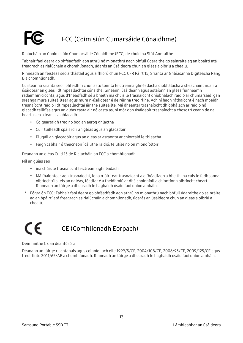### <span id="page-15-0"></span>FCC (Coimisiún Cumarsáide Cónaidhme)

Rialúcháin an Choimisiúin Chumarsáide Cónaidhme (FCC) de chuid na Stát Aontaithe

Tabhair faoi deara go bhféadfadh aon athrú nó mionathrú nach bhfuil údaraithe go sainráite ag an bpáirtí atá freagrach as rialúcháin a chomhlíonadh, údarás an úsáideora chun an gléas a oibriú a chealú.

Rinneadh an feisteas seo a thástáil agus a fhíorú chun FCC CFR Páirt 15, Srianta ar Ghléasanna Digiteacha Rang B a chomhlíonadh.

Cuirtear na srianta seo i bhfeidhm chun astú tonnta leictreamaighnéadacha díobhálacha a sheachaint nuair a úsáidtear an gléas i dtimpeallachtaí cónaithe. Gineann, úsáideann agus astaíonn an gléas fuinneamh radaimhinicíochta, agus d'fhéadfadh sé a bheith ina chúis le trasnaíocht dhíobhálach raidió ar chumarsáidí gan sreanga mura suiteáiltear agus mura n-úsáidtear é de réir na treoirlíne. Ach ní haon ráthaíocht é nach mbeidh trasnaíocht raidió i dtimpeallachtaí áirithe suiteáilte. Má dhéantar trasnaíocht dhíobhálach ar raidió nó glacadh teilifíse agus an gléas casta air nó casta as, ní mór don úsáideoir trasnaíocht a chosc trí ceann de na bearta seo a leanas a ghlacadh.

- Coigeartaigh treo nó bog an aeróg ghlactha
- Cuir tuilleadh spáis idir an gléas agus an glacadóir
- Plugáil an glacadóir agus an gléas ar asraonta ar chiorcaid leithleacha
- Faigh cabhair ó theicneoirí cáilithe raidió/teilifíse nó ón miondíoltóir

Déanann an gléas Cuid 15 de Rialacháin an FCC a chomhlíonadh.

Níl an gléas seo

- ina chúis le trasnaíocht leictreamaighnéadach
- Má fhaightear aon trasnaíocht, lena n-áirítear trasnaíocht a d'fhéadfadh a bheith ina cúis le fadhbanna oibríochtúla leis an ngléas, féadfar é a fheidhmiú ar dhá choinníoll a chinntíonn oibríocht cheart. Rinneadh an táirge a dhearadh le haghaidh úsáid faoi dhíon amháin.
- \* Fógra ón FCC: Tabhair faoi deara go bhféadfadh aon athrú nó mionathrú nach bhfuil údaraithe go sainráite ag an bpáirtí atá freagrach as rialúcháin a chomhlíonadh, údarás an úsáideora chun an gléas a oibriú a chealú.

### <span id="page-15-1"></span> $\epsilon$ CE (Comhlíonadh Eorpach)

#### Deimhnithe CE an déantúsóra

Déanann an táirge riachtanais agus coinníollach eile 1999/5/CE, 2004/108/CE, 2006/95/CE, 2009/125/CE agus treoirlínte 2011/65/AE a chomhlíonadh. Rinneadh an táirge a dhearadh le haghaidh úsáid faoi dhíon amháin.